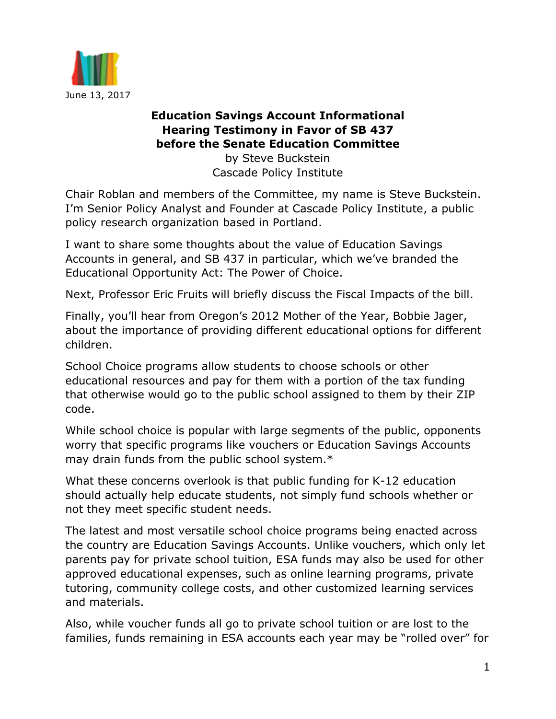

## **Education Savings Account Informational Hearing Testimony in Favor of SB 437 before the Senate Education Committee**

by Steve Buckstein Cascade Policy Institute

Chair Roblan and members of the Committee, my name is Steve Buckstein. I'm Senior Policy Analyst and Founder at Cascade Policy Institute, a public policy research organization based in Portland.

I want to share some thoughts about the value of Education Savings Accounts in general, and SB 437 in particular, which we've branded the Educational Opportunity Act: The Power of Choice.

Next, Professor Eric Fruits will briefly discuss the Fiscal Impacts of the bill.

Finally, you'll hear from Oregon's 2012 Mother of the Year, Bobbie Jager, about the importance of providing different educational options for different children.

School Choice programs allow students to choose schools or other educational resources and pay for them with a portion of the tax funding that otherwise would go to the public school assigned to them by their ZIP code.

While school choice is popular with large segments of the public, opponents worry that specific programs like vouchers or Education Savings Accounts may drain funds from the public school system.\*

What these concerns overlook is that public funding for K-12 education should actually help educate students, not simply fund schools whether or not they meet specific student needs.

The latest and most versatile school choice programs being enacted across the country are Education Savings Accounts. Unlike vouchers, which only let parents pay for private school tuition, ESA funds may also be used for other approved educational expenses, such as online learning programs, private tutoring, community college costs, and other customized learning services and materials.

Also, while voucher funds all go to private school tuition or are lost to the families, funds remaining in ESA accounts each year may be "rolled over" for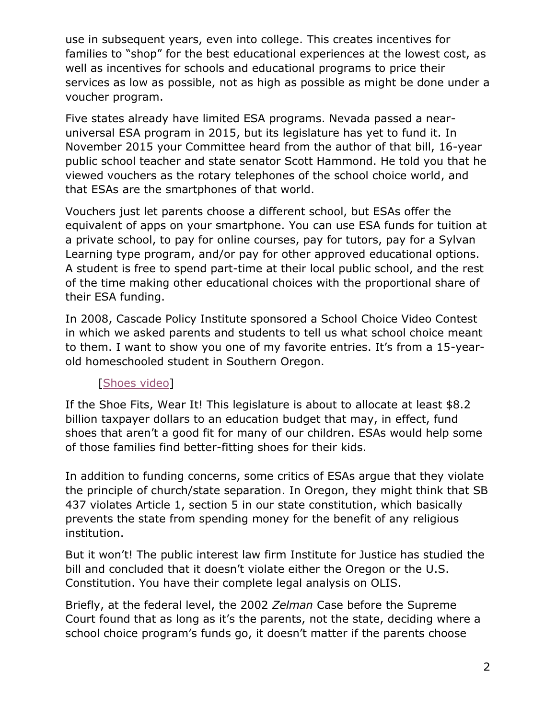use in subsequent years, even into college. This creates incentives for families to "shop" for the best educational experiences at the lowest cost, as well as incentives for schools and educational programs to price their services as low as possible, not as high as possible as might be done under a voucher program.

Five states already have limited ESA programs. Nevada passed a nearuniversal ESA program in 2015, but its legislature has yet to fund it. In November 2015 your Committee heard from the author of that bill, 16-year public school teacher and state senator Scott Hammond. He told you that he viewed vouchers as the rotary telephones of the school choice world, and that ESAs are the smartphones of that world.

Vouchers just let parents choose a different school, but ESAs offer the equivalent of apps on your smartphone. You can use ESA funds for tuition at a private school, to pay for online courses, pay for tutors, pay for a Sylvan Learning type program, and/or pay for other approved educational options. A student is free to spend part-time at their local public school, and the rest of the time making other educational choices with the proportional share of their ESA funding.

In 2008, Cascade Policy Institute sponsored a School Choice Video Contest in which we asked parents and students to tell us what school choice meant to them. I want to show you one of my favorite entries. It's from a 15-yearold homeschooled student in Southern Oregon.

## [\[Shoes video\]](https://www.youtube.com/watch?v=ihjnKXpS_WA)

If the Shoe Fits, Wear It! This legislature is about to allocate at least \$8.2 billion taxpayer dollars to an education budget that may, in effect, fund shoes that aren't a good fit for many of our children. ESAs would help some of those families find better-fitting shoes for their kids.

In addition to funding concerns, some critics of ESAs argue that they violate the principle of church/state separation. In Oregon, they might think that SB 437 violates Article 1, section 5 in our state constitution, which basically prevents the state from spending money for the benefit of any religious institution.

But it won't! The public interest law firm Institute for Justice has studied the bill and concluded that it doesn't violate either the Oregon or the U.S. Constitution. You have their complete legal analysis on OLIS.

Briefly, at the federal level, the 2002 *Zelman* Case before the Supreme Court found that as long as it's the parents, not the state, deciding where a school choice program's funds go, it doesn't matter if the parents choose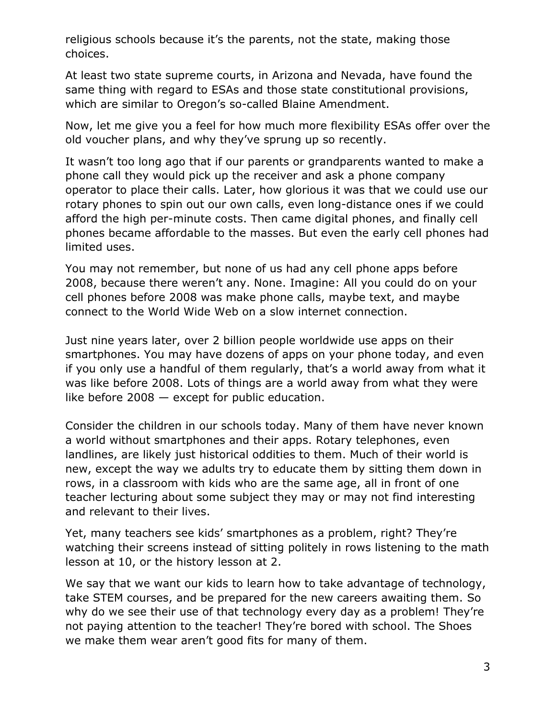religious schools because it's the parents, not the state, making those choices.

At least two state supreme courts, in Arizona and Nevada, have found the same thing with regard to ESAs and those state constitutional provisions, which are similar to Oregon's so-called Blaine Amendment.

Now, let me give you a feel for how much more flexibility ESAs offer over the old voucher plans, and why they've sprung up so recently.

It wasn't too long ago that if our parents or grandparents wanted to make a phone call they would pick up the receiver and ask a phone company operator to place their calls. Later, how glorious it was that we could use our rotary phones to spin out our own calls, even long-distance ones if we could afford the high per-minute costs. Then came digital phones, and finally cell phones became affordable to the masses. But even the early cell phones had limited uses.

You may not remember, but none of us had any cell phone apps before 2008, because there weren't any. None. Imagine: All you could do on your cell phones before 2008 was make phone calls, maybe text, and maybe connect to the World Wide Web on a slow internet connection.

Just nine years later, over 2 billion people worldwide use apps on their smartphones. You may have dozens of apps on your phone today, and even if you only use a handful of them regularly, that's a world away from what it was like before 2008. Lots of things are a world away from what they were like before 2008 — except for public education.

Consider the children in our schools today. Many of them have never known a world without smartphones and their apps. Rotary telephones, even landlines, are likely just historical oddities to them. Much of their world is new, except the way we adults try to educate them by sitting them down in rows, in a classroom with kids who are the same age, all in front of one teacher lecturing about some subject they may or may not find interesting and relevant to their lives.

Yet, many teachers see kids' smartphones as a problem, right? They're watching their screens instead of sitting politely in rows listening to the math lesson at 10, or the history lesson at 2.

We say that we want our kids to learn how to take advantage of technology, take STEM courses, and be prepared for the new careers awaiting them. So why do we see their use of that technology every day as a problem! They're not paying attention to the teacher! They're bored with school. The Shoes we make them wear aren't good fits for many of them.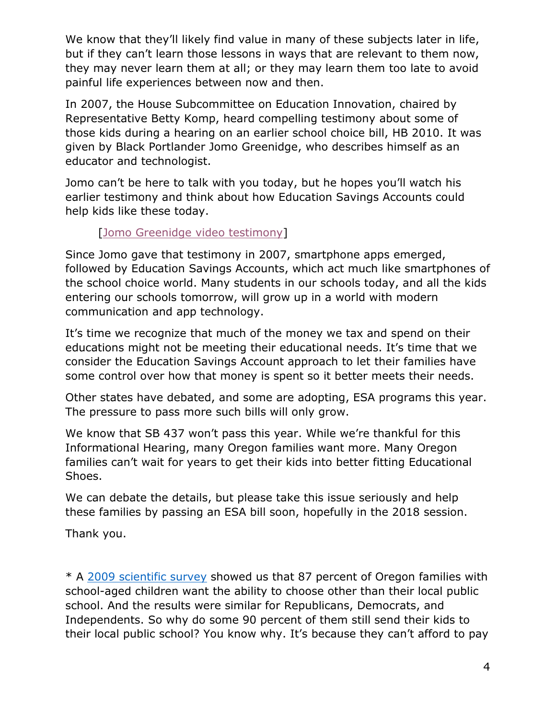We know that they'll likely find value in many of these subjects later in life, but if they can't learn those lessons in ways that are relevant to them now, they may never learn them at all; or they may learn them too late to avoid painful life experiences between now and then.

In 2007, the House Subcommittee on Education Innovation, chaired by Representative Betty Komp, heard compelling testimony about some of those kids during a hearing on an earlier school choice bill, HB 2010. It was given by Black Portlander Jomo Greenidge, who describes himself as an educator and technologist.

Jomo can't be here to talk with you today, but he hopes you'll watch his earlier testimony and think about how Education Savings Accounts could help kids like these today.

## [\[Jomo Greenidge video testimony\]](https://www.youtube.com/watch?v=dFe9OLc6dZQ)

Since Jomo gave that testimony in 2007, smartphone apps emerged, followed by Education Savings Accounts, which act much like smartphones of the school choice world. Many students in our schools today, and all the kids entering our schools tomorrow, will grow up in a world with modern communication and app technology.

It's time we recognize that much of the money we tax and spend on their educations might not be meeting their educational needs. It's time that we consider the Education Savings Account approach to let their families have some control over how that money is spent so it better meets their needs.

Other states have debated, and some are adopting, ESA programs this year. The pressure to pass more such bills will only grow.

We know that SB 437 won't pass this year. While we're thankful for this Informational Hearing, many Oregon families want more. Many Oregon families can't wait for years to get their kids into better fitting Educational Shoes.

We can debate the details, but please take this issue seriously and help these families by passing an ESA bill soon, hopefully in the 2018 session.

Thank you.

\* A [2009 scientific survey](http://cascadepolicy.org/blog/2009/01/05/oregon-education-opinion-survey-results/) showed us that 87 percent of Oregon families with school-aged children want the ability to choose other than their local public school. And the results were similar for Republicans, Democrats, and Independents. So why do some 90 percent of them still send their kids to their local public school? You know why. It's because they can't afford to pay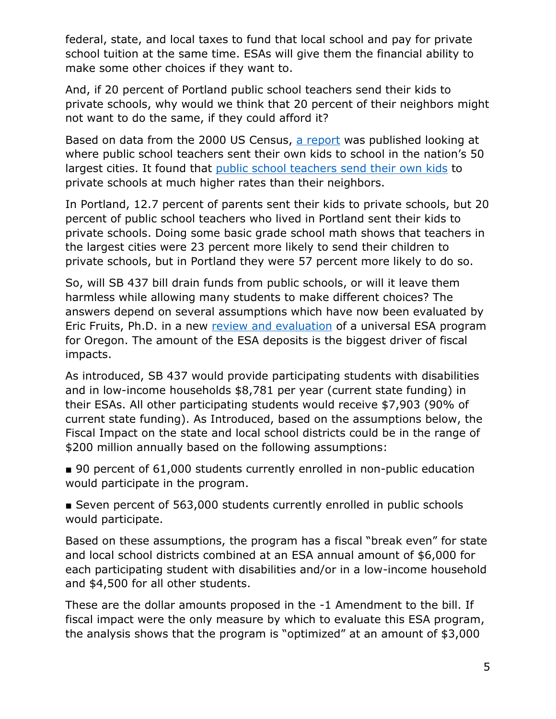federal, state, and local taxes to fund that local school and pay for private school tuition at the same time. ESAs will give them the financial ability to make some other choices if they want to.

And, if 20 percent of Portland public school teachers send their kids to private schools, why would we think that 20 percent of their neighbors might not want to do the same, if they could afford it?

Based on data from the 2000 US Census, [a report](http://www.edexcellencemedia.net/publications/2004/200409_wheredopublic/Fwd-1.1.pdf) was published looking at where public school teachers sent their own kids to school in the nation's 50 largest cities. It found that [public school teachers send their own kids](http://cascadepolicy.org/blog/2004/10/05/who-know-public-schools-best/) to private schools at much higher rates than their neighbors.

In Portland, 12.7 percent of parents sent their kids to private schools, but 20 percent of public school teachers who lived in Portland sent their kids to private schools. Doing some basic grade school math shows that teachers in the largest cities were 23 percent more likely to send their children to private schools, but in Portland they were 57 percent more likely to do so.

So, will SB 437 bill drain funds from public schools, or will it leave them harmless while allowing many students to make different choices? The answers depend on several assumptions which have now been evaluated by Eric Fruits, Ph.D. in a new [review and evaluation](http://cascadepolicy.org/wp-content/uploads/2017/04/ESA_Fiscal_Analysis_Report_April_2017.pdf) of a universal ESA program for Oregon. The amount of the ESA deposits is the biggest driver of fiscal impacts.

As introduced, SB 437 would provide participating students with disabilities and in low-income households \$8,781 per year (current state funding) in their ESAs. All other participating students would receive \$7,903 (90% of current state funding). As Introduced, based on the assumptions below, the Fiscal Impact on the state and local school districts could be in the range of \$200 million annually based on the following assumptions:

■ 90 percent of 61,000 students currently enrolled in non-public education would participate in the program.

■ Seven percent of 563,000 students currently enrolled in public schools would participate.

Based on these assumptions, the program has a fiscal "break even" for state and local school districts combined at an ESA annual amount of \$6,000 for each participating student with disabilities and/or in a low-income household and \$4,500 for all other students.

These are the dollar amounts proposed in the -1 Amendment to the bill. If fiscal impact were the only measure by which to evaluate this ESA program, the analysis shows that the program is "optimized" at an amount of \$3,000